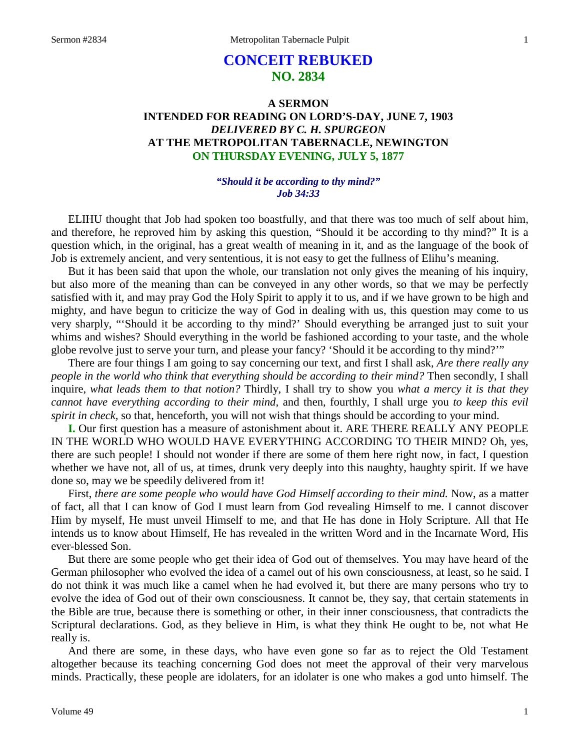# **CONCEIT REBUKED NO. 2834**

# **A SERMON INTENDED FOR READING ON LORD'S-DAY, JUNE 7, 1903** *DELIVERED BY C. H. SPURGEON* **AT THE METROPOLITAN TABERNACLE, NEWINGTON ON THURSDAY EVENING, JULY 5, 1877**

### *"Should it be according to thy mind?" Job 34:33*

ELIHU thought that Job had spoken too boastfully, and that there was too much of self about him, and therefore, he reproved him by asking this question, "Should it be according to thy mind?" It is a question which, in the original, has a great wealth of meaning in it, and as the language of the book of Job is extremely ancient, and very sententious, it is not easy to get the fullness of Elihu's meaning.

But it has been said that upon the whole, our translation not only gives the meaning of his inquiry, but also more of the meaning than can be conveyed in any other words, so that we may be perfectly satisfied with it, and may pray God the Holy Spirit to apply it to us, and if we have grown to be high and mighty, and have begun to criticize the way of God in dealing with us, this question may come to us very sharply, "'Should it be according to thy mind?' Should everything be arranged just to suit your whims and wishes? Should everything in the world be fashioned according to your taste, and the whole globe revolve just to serve your turn, and please your fancy? 'Should it be according to thy mind?'"

There are four things I am going to say concerning our text, and first I shall ask, *Are there really any people in the world who think that everything should be according to their mind?* Then secondly, I shall inquire, *what leads them to that notion?* Thirdly, I shall try to show you *what a mercy it is that they cannot have everything according to their mind,* and then, fourthly, I shall urge you *to keep this evil spirit in check,* so that, henceforth, you will not wish that things should be according to your mind.

**I.** Our first question has a measure of astonishment about it. ARE THERE REALLY ANY PEOPLE IN THE WORLD WHO WOULD HAVE EVERYTHING ACCORDING TO THEIR MIND? Oh, yes, there are such people! I should not wonder if there are some of them here right now, in fact, I question whether we have not, all of us, at times, drunk very deeply into this naughty, haughty spirit. If we have done so, may we be speedily delivered from it!

First, *there are some people who would have God Himself according to their mind.* Now, as a matter of fact, all that I can know of God I must learn from God revealing Himself to me. I cannot discover Him by myself, He must unveil Himself to me, and that He has done in Holy Scripture. All that He intends us to know about Himself, He has revealed in the written Word and in the Incarnate Word, His ever-blessed Son.

But there are some people who get their idea of God out of themselves. You may have heard of the German philosopher who evolved the idea of a camel out of his own consciousness, at least, so he said. I do not think it was much like a camel when he had evolved it, but there are many persons who try to evolve the idea of God out of their own consciousness. It cannot be, they say, that certain statements in the Bible are true, because there is something or other, in their inner consciousness, that contradicts the Scriptural declarations. God, as they believe in Him, is what they think He ought to be, not what He really is.

And there are some, in these days, who have even gone so far as to reject the Old Testament altogether because its teaching concerning God does not meet the approval of their very marvelous minds. Practically, these people are idolaters, for an idolater is one who makes a god unto himself. The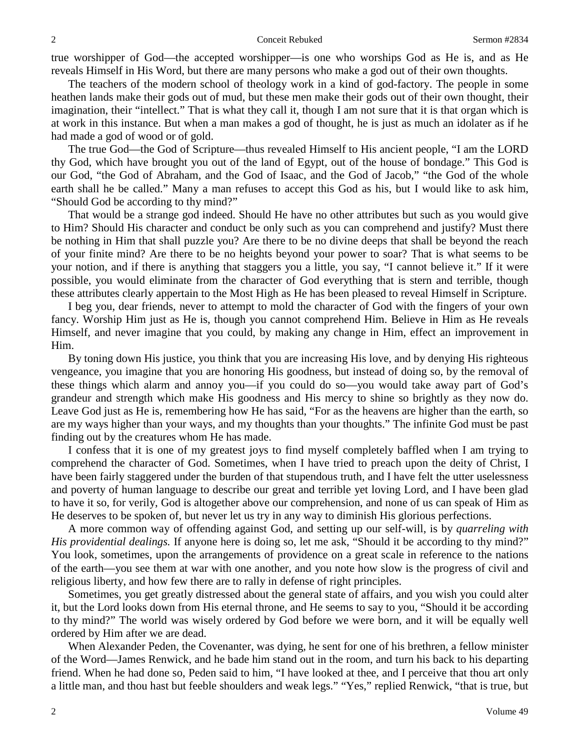true worshipper of God—the accepted worshipper—is one who worships God as He is, and as He reveals Himself in His Word, but there are many persons who make a god out of their own thoughts.

The teachers of the modern school of theology work in a kind of god-factory. The people in some heathen lands make their gods out of mud, but these men make their gods out of their own thought, their imagination, their "intellect." That is what they call it, though I am not sure that it is that organ which is at work in this instance. But when a man makes a god of thought, he is just as much an idolater as if he had made a god of wood or of gold.

The true God—the God of Scripture—thus revealed Himself to His ancient people, "I am the LORD thy God, which have brought you out of the land of Egypt, out of the house of bondage." This God is our God, "the God of Abraham, and the God of Isaac, and the God of Jacob," "the God of the whole earth shall he be called." Many a man refuses to accept this God as his, but I would like to ask him, "Should God be according to thy mind?"

That would be a strange god indeed. Should He have no other attributes but such as you would give to Him? Should His character and conduct be only such as you can comprehend and justify? Must there be nothing in Him that shall puzzle you? Are there to be no divine deeps that shall be beyond the reach of your finite mind? Are there to be no heights beyond your power to soar? That is what seems to be your notion, and if there is anything that staggers you a little, you say, "I cannot believe it." If it were possible, you would eliminate from the character of God everything that is stern and terrible, though these attributes clearly appertain to the Most High as He has been pleased to reveal Himself in Scripture.

I beg you, dear friends, never to attempt to mold the character of God with the fingers of your own fancy. Worship Him just as He is, though you cannot comprehend Him. Believe in Him as He reveals Himself, and never imagine that you could, by making any change in Him, effect an improvement in Him.

By toning down His justice, you think that you are increasing His love, and by denying His righteous vengeance, you imagine that you are honoring His goodness, but instead of doing so, by the removal of these things which alarm and annoy you—if you could do so—you would take away part of God's grandeur and strength which make His goodness and His mercy to shine so brightly as they now do. Leave God just as He is, remembering how He has said, "For as the heavens are higher than the earth, so are my ways higher than your ways, and my thoughts than your thoughts." The infinite God must be past finding out by the creatures whom He has made.

I confess that it is one of my greatest joys to find myself completely baffled when I am trying to comprehend the character of God. Sometimes, when I have tried to preach upon the deity of Christ, I have been fairly staggered under the burden of that stupendous truth, and I have felt the utter uselessness and poverty of human language to describe our great and terrible yet loving Lord, and I have been glad to have it so, for verily, God is altogether above our comprehension, and none of us can speak of Him as He deserves to be spoken of, but never let us try in any way to diminish His glorious perfections.

A more common way of offending against God, and setting up our self-will, is by *quarreling with His providential dealings.* If anyone here is doing so, let me ask, "Should it be according to thy mind?" You look, sometimes, upon the arrangements of providence on a great scale in reference to the nations of the earth—you see them at war with one another, and you note how slow is the progress of civil and religious liberty, and how few there are to rally in defense of right principles.

Sometimes, you get greatly distressed about the general state of affairs, and you wish you could alter it, but the Lord looks down from His eternal throne, and He seems to say to you, "Should it be according to thy mind?" The world was wisely ordered by God before we were born, and it will be equally well ordered by Him after we are dead.

When Alexander Peden, the Covenanter, was dying, he sent for one of his brethren, a fellow minister of the Word—James Renwick, and he bade him stand out in the room, and turn his back to his departing friend. When he had done so, Peden said to him, "I have looked at thee, and I perceive that thou art only a little man, and thou hast but feeble shoulders and weak legs." "Yes," replied Renwick, "that is true, but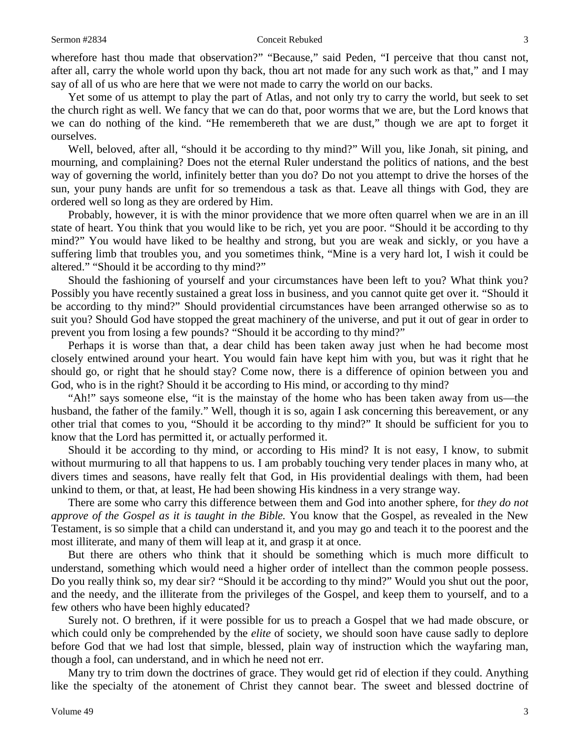wherefore hast thou made that observation?" "Because," said Peden, "I perceive that thou canst not, after all, carry the whole world upon thy back, thou art not made for any such work as that," and I may say of all of us who are here that we were not made to carry the world on our backs.

Yet some of us attempt to play the part of Atlas, and not only try to carry the world, but seek to set the church right as well. We fancy that we can do that, poor worms that we are, but the Lord knows that we can do nothing of the kind. "He remembereth that we are dust," though we are apt to forget it ourselves.

Well, beloved, after all, "should it be according to thy mind?" Will you, like Jonah, sit pining, and mourning, and complaining? Does not the eternal Ruler understand the politics of nations, and the best way of governing the world, infinitely better than you do? Do not you attempt to drive the horses of the sun, your puny hands are unfit for so tremendous a task as that. Leave all things with God, they are ordered well so long as they are ordered by Him.

Probably, however, it is with the minor providence that we more often quarrel when we are in an ill state of heart. You think that you would like to be rich, yet you are poor. "Should it be according to thy mind?" You would have liked to be healthy and strong, but you are weak and sickly, or you have a suffering limb that troubles you, and you sometimes think, "Mine is a very hard lot, I wish it could be altered." "Should it be according to thy mind?"

Should the fashioning of yourself and your circumstances have been left to you? What think you? Possibly you have recently sustained a great loss in business, and you cannot quite get over it. "Should it be according to thy mind?" Should providential circumstances have been arranged otherwise so as to suit you? Should God have stopped the great machinery of the universe, and put it out of gear in order to prevent you from losing a few pounds? "Should it be according to thy mind?"

Perhaps it is worse than that, a dear child has been taken away just when he had become most closely entwined around your heart. You would fain have kept him with you, but was it right that he should go, or right that he should stay? Come now, there is a difference of opinion between you and God, who is in the right? Should it be according to His mind, or according to thy mind?

"Ah!" says someone else, "it is the mainstay of the home who has been taken away from us—the husband, the father of the family." Well, though it is so, again I ask concerning this bereavement, or any other trial that comes to you, "Should it be according to thy mind?" It should be sufficient for you to know that the Lord has permitted it, or actually performed it.

Should it be according to thy mind, or according to His mind? It is not easy, I know, to submit without murmuring to all that happens to us. I am probably touching very tender places in many who, at divers times and seasons, have really felt that God, in His providential dealings with them, had been unkind to them, or that, at least, He had been showing His kindness in a very strange way.

There are some who carry this difference between them and God into another sphere, for *they do not approve of the Gospel as it is taught in the Bible.* You know that the Gospel, as revealed in the New Testament, is so simple that a child can understand it, and you may go and teach it to the poorest and the most illiterate, and many of them will leap at it, and grasp it at once.

But there are others who think that it should be something which is much more difficult to understand, something which would need a higher order of intellect than the common people possess. Do you really think so, my dear sir? "Should it be according to thy mind?" Would you shut out the poor, and the needy, and the illiterate from the privileges of the Gospel, and keep them to yourself, and to a few others who have been highly educated?

Surely not. O brethren, if it were possible for us to preach a Gospel that we had made obscure, or which could only be comprehended by the *elite* of society, we should soon have cause sadly to deplore before God that we had lost that simple, blessed, plain way of instruction which the wayfaring man, though a fool, can understand, and in which he need not err.

Many try to trim down the doctrines of grace. They would get rid of election if they could. Anything like the specialty of the atonement of Christ they cannot bear. The sweet and blessed doctrine of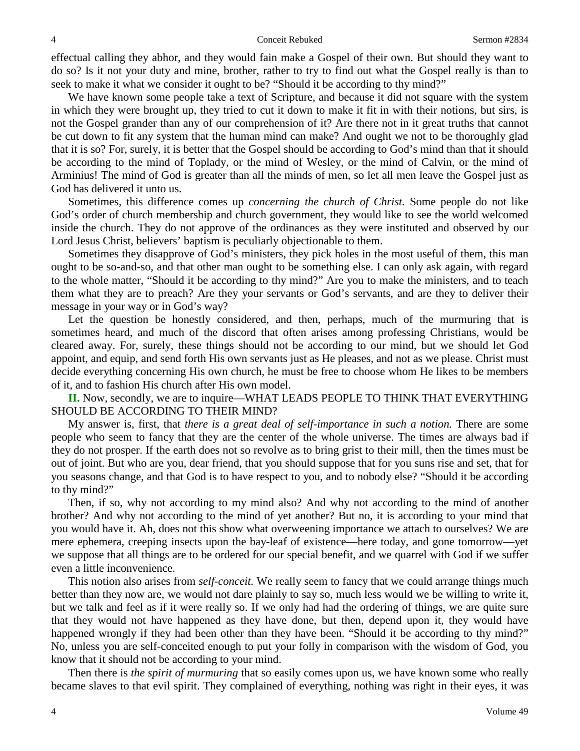effectual calling they abhor, and they would fain make a Gospel of their own. But should they want to do so? Is it not your duty and mine, brother, rather to try to find out what the Gospel really is than to seek to make it what we consider it ought to be? "Should it be according to thy mind?"

We have known some people take a text of Scripture, and because it did not square with the system in which they were brought up, they tried to cut it down to make it fit in with their notions, but sirs, is not the Gospel grander than any of our comprehension of it? Are there not in it great truths that cannot be cut down to fit any system that the human mind can make? And ought we not to be thoroughly glad that it is so? For, surely, it is better that the Gospel should be according to God's mind than that it should be according to the mind of Toplady, or the mind of Wesley, or the mind of Calvin, or the mind of Arminius! The mind of God is greater than all the minds of men, so let all men leave the Gospel just as God has delivered it unto us.

Sometimes, this difference comes up *concerning the church of Christ.* Some people do not like God's order of church membership and church government, they would like to see the world welcomed inside the church. They do not approve of the ordinances as they were instituted and observed by our Lord Jesus Christ, believers' baptism is peculiarly objectionable to them.

Sometimes they disapprove of God's ministers, they pick holes in the most useful of them, this man ought to be so-and-so, and that other man ought to be something else. I can only ask again, with regard to the whole matter, "Should it be according to thy mind?" Are you to make the ministers, and to teach them what they are to preach? Are they your servants or God's servants, and are they to deliver their message in your way or in God's way?

Let the question be honestly considered, and then, perhaps, much of the murmuring that is sometimes heard, and much of the discord that often arises among professing Christians, would be cleared away. For, surely, these things should not be according to our mind, but we should let God appoint, and equip, and send forth His own servants just as He pleases, and not as we please. Christ must decide everything concerning His own church, he must be free to choose whom He likes to be members of it, and to fashion His church after His own model.

**II.** Now, secondly, we are to inquire—WHAT LEADS PEOPLE TO THINK THAT EVERYTHING SHOULD BE ACCORDING TO THEIR MIND?

My answer is, first, that *there is a great deal of self-importance in such a notion.* There are some people who seem to fancy that they are the center of the whole universe. The times are always bad if they do not prosper. If the earth does not so revolve as to bring grist to their mill, then the times must be out of joint. But who are you, dear friend, that you should suppose that for you suns rise and set, that for you seasons change, and that God is to have respect to you, and to nobody else? "Should it be according to thy mind?"

Then, if so, why not according to my mind also? And why not according to the mind of another brother? And why not according to the mind of yet another? But no, it is according to your mind that you would have it. Ah, does not this show what overweening importance we attach to ourselves? We are mere ephemera, creeping insects upon the bay-leaf of existence—here today, and gone tomorrow—yet we suppose that all things are to be ordered for our special benefit, and we quarrel with God if we suffer even a little inconvenience.

This notion also arises from *self-conceit.* We really seem to fancy that we could arrange things much better than they now are, we would not dare plainly to say so, much less would we be willing to write it, but we talk and feel as if it were really so. If we only had had the ordering of things, we are quite sure that they would not have happened as they have done, but then, depend upon it, they would have happened wrongly if they had been other than they have been. "Should it be according to thy mind?" No, unless you are self-conceited enough to put your folly in comparison with the wisdom of God, you know that it should not be according to your mind.

Then there is *the spirit of murmuring* that so easily comes upon us, we have known some who really became slaves to that evil spirit. They complained of everything, nothing was right in their eyes, it was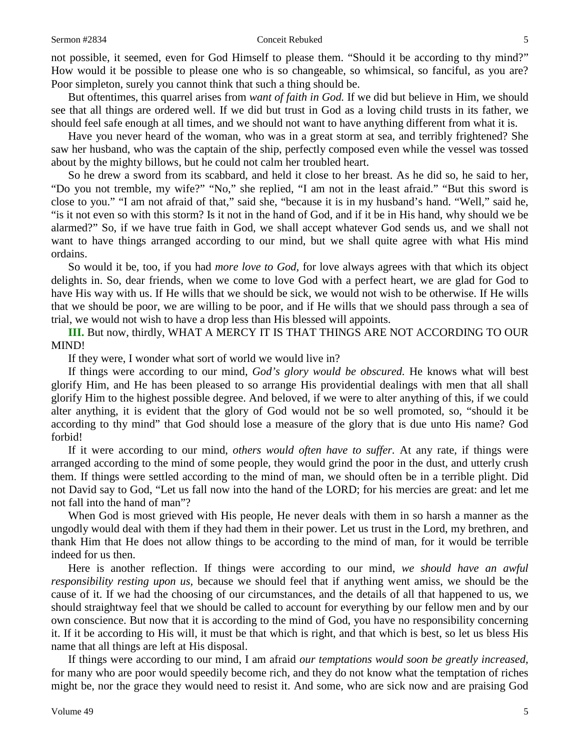### Sermon #2834 Conceit Rebuked 5

not possible, it seemed, even for God Himself to please them. "Should it be according to thy mind?" How would it be possible to please one who is so changeable, so whimsical, so fanciful, as you are? Poor simpleton, surely you cannot think that such a thing should be.

But oftentimes, this quarrel arises from *want of faith in God.* If we did but believe in Him, we should see that all things are ordered well. If we did but trust in God as a loving child trusts in its father, we should feel safe enough at all times, and we should not want to have anything different from what it is.

Have you never heard of the woman, who was in a great storm at sea, and terribly frightened? She saw her husband, who was the captain of the ship, perfectly composed even while the vessel was tossed about by the mighty billows, but he could not calm her troubled heart.

So he drew a sword from its scabbard, and held it close to her breast. As he did so, he said to her, "Do you not tremble, my wife?" "No," she replied, "I am not in the least afraid." "But this sword is close to you." "I am not afraid of that," said she, "because it is in my husband's hand. "Well," said he, "is it not even so with this storm? Is it not in the hand of God, and if it be in His hand, why should we be alarmed?" So, if we have true faith in God, we shall accept whatever God sends us, and we shall not want to have things arranged according to our mind, but we shall quite agree with what His mind ordains.

So would it be, too, if you had *more love to God,* for love always agrees with that which its object delights in. So, dear friends, when we come to love God with a perfect heart, we are glad for God to have His way with us. If He wills that we should be sick, we would not wish to be otherwise. If He wills that we should be poor, we are willing to be poor, and if He wills that we should pass through a sea of trial, we would not wish to have a drop less than His blessed will appoints.

**III.** But now, thirdly, WHAT A MERCY IT IS THAT THINGS ARE NOT ACCORDING TO OUR MIND!

If they were, I wonder what sort of world we would live in?

If things were according to our mind, *God's glory would be obscured.* He knows what will best glorify Him, and He has been pleased to so arrange His providential dealings with men that all shall glorify Him to the highest possible degree. And beloved, if we were to alter anything of this, if we could alter anything, it is evident that the glory of God would not be so well promoted, so, "should it be according to thy mind" that God should lose a measure of the glory that is due unto His name? God forbid!

If it were according to our mind, *others would often have to suffer.* At any rate, if things were arranged according to the mind of some people, they would grind the poor in the dust, and utterly crush them. If things were settled according to the mind of man, we should often be in a terrible plight. Did not David say to God, "Let us fall now into the hand of the LORD; for his mercies are great: and let me not fall into the hand of man"?

When God is most grieved with His people, He never deals with them in so harsh a manner as the ungodly would deal with them if they had them in their power. Let us trust in the Lord, my brethren, and thank Him that He does not allow things to be according to the mind of man, for it would be terrible indeed for us then.

Here is another reflection. If things were according to our mind, *we should have an awful responsibility resting upon us,* because we should feel that if anything went amiss, we should be the cause of it. If we had the choosing of our circumstances, and the details of all that happened to us, we should straightway feel that we should be called to account for everything by our fellow men and by our own conscience. But now that it is according to the mind of God, you have no responsibility concerning it. If it be according to His will, it must be that which is right, and that which is best, so let us bless His name that all things are left at His disposal.

If things were according to our mind, I am afraid *our temptations would soon be greatly increased,*  for many who are poor would speedily become rich, and they do not know what the temptation of riches might be, nor the grace they would need to resist it. And some, who are sick now and are praising God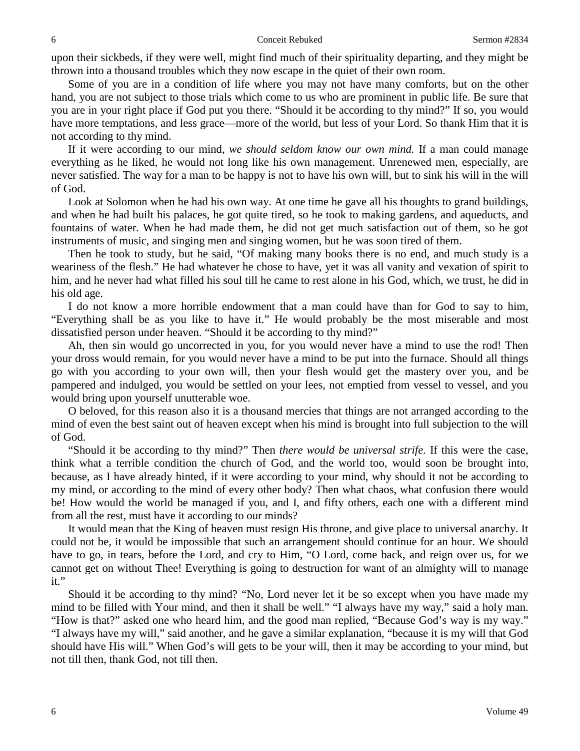upon their sickbeds, if they were well, might find much of their spirituality departing, and they might be thrown into a thousand troubles which they now escape in the quiet of their own room.

Some of you are in a condition of life where you may not have many comforts, but on the other hand, you are not subject to those trials which come to us who are prominent in public life. Be sure that you are in your right place if God put you there. "Should it be according to thy mind?" If so, you would have more temptations, and less grace—more of the world, but less of your Lord. So thank Him that it is not according to thy mind.

If it were according to our mind, *we should seldom know our own mind.* If a man could manage everything as he liked, he would not long like his own management. Unrenewed men, especially, are never satisfied. The way for a man to be happy is not to have his own will, but to sink his will in the will of God.

Look at Solomon when he had his own way. At one time he gave all his thoughts to grand buildings, and when he had built his palaces, he got quite tired, so he took to making gardens, and aqueducts, and fountains of water. When he had made them, he did not get much satisfaction out of them, so he got instruments of music, and singing men and singing women, but he was soon tired of them.

Then he took to study, but he said, "Of making many books there is no end, and much study is a weariness of the flesh." He had whatever he chose to have, yet it was all vanity and vexation of spirit to him, and he never had what filled his soul till he came to rest alone in his God, which, we trust, he did in his old age.

I do not know a more horrible endowment that a man could have than for God to say to him, "Everything shall be as you like to have it." He would probably be the most miserable and most dissatisfied person under heaven. "Should it be according to thy mind?"

Ah, then sin would go uncorrected in you, for you would never have a mind to use the rod! Then your dross would remain, for you would never have a mind to be put into the furnace. Should all things go with you according to your own will, then your flesh would get the mastery over you, and be pampered and indulged, you would be settled on your lees, not emptied from vessel to vessel, and you would bring upon yourself unutterable woe.

O beloved, for this reason also it is a thousand mercies that things are not arranged according to the mind of even the best saint out of heaven except when his mind is brought into full subjection to the will of God.

"Should it be according to thy mind?" Then *there would be universal strife.* If this were the case, think what a terrible condition the church of God, and the world too, would soon be brought into, because, as I have already hinted, if it were according to your mind, why should it not be according to my mind, or according to the mind of every other body? Then what chaos, what confusion there would be! How would the world be managed if you, and I, and fifty others, each one with a different mind from all the rest, must have it according to our minds?

It would mean that the King of heaven must resign His throne, and give place to universal anarchy. It could not be, it would be impossible that such an arrangement should continue for an hour. We should have to go, in tears, before the Lord, and cry to Him, "O Lord, come back, and reign over us, for we cannot get on without Thee! Everything is going to destruction for want of an almighty will to manage it."

Should it be according to thy mind? "No, Lord never let it be so except when you have made my mind to be filled with Your mind, and then it shall be well." "I always have my way," said a holy man. "How is that?" asked one who heard him, and the good man replied, "Because God's way is my way." "I always have my will," said another, and he gave a similar explanation, "because it is my will that God should have His will." When God's will gets to be your will, then it may be according to your mind, but not till then, thank God, not till then.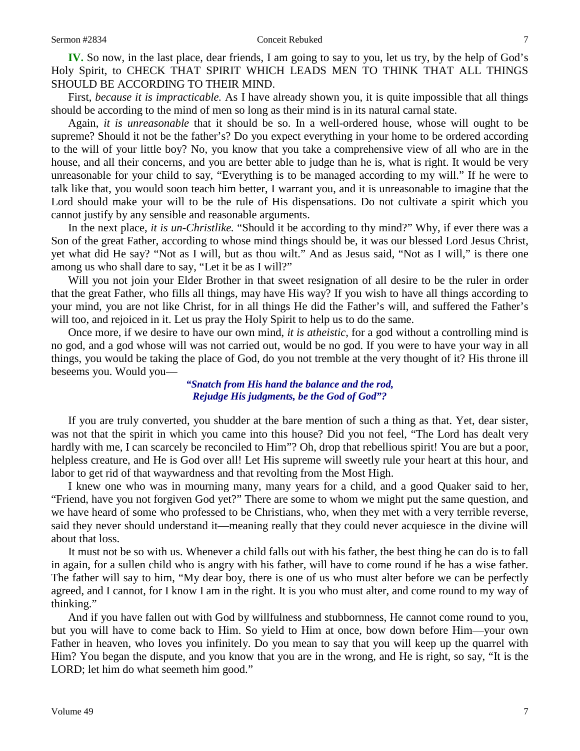**IV.** So now, in the last place, dear friends, I am going to say to you, let us try, by the help of God's Holy Spirit, to CHECK THAT SPIRIT WHICH LEADS MEN TO THINK THAT ALL THINGS SHOULD BE ACCORDING TO THEIR MIND.

First, *because it is impracticable.* As I have already shown you, it is quite impossible that all things should be according to the mind of men so long as their mind is in its natural carnal state.

Again, *it is unreasonable* that it should be so. In a well-ordered house, whose will ought to be supreme? Should it not be the father's? Do you expect everything in your home to be ordered according to the will of your little boy? No, you know that you take a comprehensive view of all who are in the house, and all their concerns, and you are better able to judge than he is, what is right. It would be very unreasonable for your child to say, "Everything is to be managed according to my will." If he were to talk like that, you would soon teach him better, I warrant you, and it is unreasonable to imagine that the Lord should make your will to be the rule of His dispensations. Do not cultivate a spirit which you cannot justify by any sensible and reasonable arguments.

In the next place, *it is un-Christlike.* "Should it be according to thy mind?" Why, if ever there was a Son of the great Father, according to whose mind things should be, it was our blessed Lord Jesus Christ, yet what did He say? "Not as I will, but as thou wilt." And as Jesus said, "Not as I will," is there one among us who shall dare to say, "Let it be as I will?"

Will you not join your Elder Brother in that sweet resignation of all desire to be the ruler in order that the great Father, who fills all things, may have His way? If you wish to have all things according to your mind, you are not like Christ, for in all things He did the Father's will, and suffered the Father's will too, and rejoiced in it. Let us pray the Holy Spirit to help us to do the same.

Once more, if we desire to have our own mind, *it is atheistic,* for a god without a controlling mind is no god, and a god whose will was not carried out, would be no god. If you were to have your way in all things, you would be taking the place of God, do you not tremble at the very thought of it? His throne ill beseems you. Would you—

> *"Snatch from His hand the balance and the rod, Rejudge His judgments, be the God of God"?*

If you are truly converted, you shudder at the bare mention of such a thing as that. Yet, dear sister, was not that the spirit in which you came into this house? Did you not feel, "The Lord has dealt very hardly with me, I can scarcely be reconciled to Him"? Oh, drop that rebellious spirit! You are but a poor, helpless creature, and He is God over all! Let His supreme will sweetly rule your heart at this hour, and labor to get rid of that waywardness and that revolting from the Most High.

I knew one who was in mourning many, many years for a child, and a good Quaker said to her, "Friend, have you not forgiven God yet?" There are some to whom we might put the same question, and we have heard of some who professed to be Christians, who, when they met with a very terrible reverse, said they never should understand it—meaning really that they could never acquiesce in the divine will about that loss.

It must not be so with us. Whenever a child falls out with his father, the best thing he can do is to fall in again, for a sullen child who is angry with his father, will have to come round if he has a wise father. The father will say to him, "My dear boy, there is one of us who must alter before we can be perfectly agreed, and I cannot, for I know I am in the right. It is you who must alter, and come round to my way of thinking."

And if you have fallen out with God by willfulness and stubbornness, He cannot come round to you, but you will have to come back to Him. So yield to Him at once, bow down before Him—your own Father in heaven, who loves you infinitely. Do you mean to say that you will keep up the quarrel with Him? You began the dispute, and you know that you are in the wrong, and He is right, so say, "It is the LORD; let him do what seemeth him good."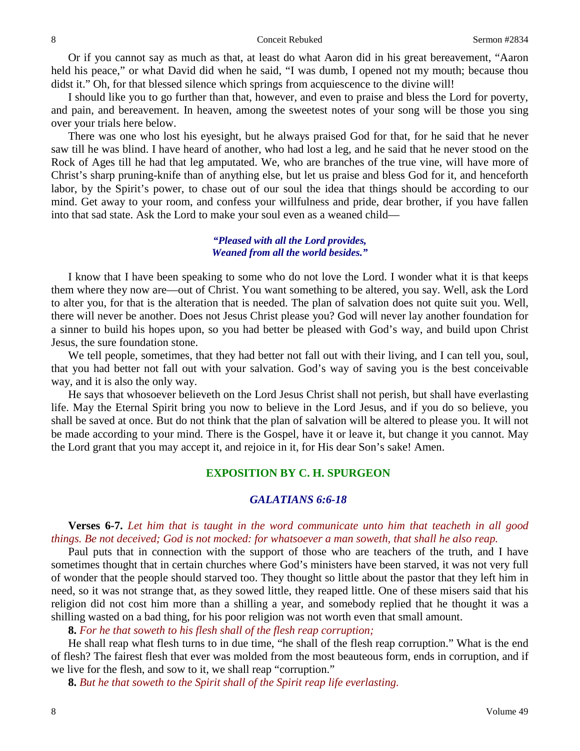Or if you cannot say as much as that, at least do what Aaron did in his great bereavement, "Aaron held his peace," or what David did when he said, "I was dumb, I opened not my mouth; because thou didst it." Oh, for that blessed silence which springs from acquiescence to the divine will!

I should like you to go further than that, however, and even to praise and bless the Lord for poverty, and pain, and bereavement. In heaven, among the sweetest notes of your song will be those you sing over your trials here below.

There was one who lost his eyesight, but he always praised God for that, for he said that he never saw till he was blind. I have heard of another, who had lost a leg, and he said that he never stood on the Rock of Ages till he had that leg amputated. We, who are branches of the true vine, will have more of Christ's sharp pruning-knife than of anything else, but let us praise and bless God for it, and henceforth labor, by the Spirit's power, to chase out of our soul the idea that things should be according to our mind. Get away to your room, and confess your willfulness and pride, dear brother, if you have fallen into that sad state. Ask the Lord to make your soul even as a weaned child—

> *"Pleased with all the Lord provides, Weaned from all the world besides."*

I know that I have been speaking to some who do not love the Lord. I wonder what it is that keeps them where they now are—out of Christ. You want something to be altered, you say. Well, ask the Lord to alter you, for that is the alteration that is needed. The plan of salvation does not quite suit you. Well, there will never be another. Does not Jesus Christ please you? God will never lay another foundation for a sinner to build his hopes upon, so you had better be pleased with God's way, and build upon Christ Jesus, the sure foundation stone.

We tell people, sometimes, that they had better not fall out with their living, and I can tell you, soul, that you had better not fall out with your salvation. God's way of saving you is the best conceivable way, and it is also the only way.

He says that whosoever believeth on the Lord Jesus Christ shall not perish, but shall have everlasting life. May the Eternal Spirit bring you now to believe in the Lord Jesus, and if you do so believe, you shall be saved at once. But do not think that the plan of salvation will be altered to please you. It will not be made according to your mind. There is the Gospel, have it or leave it, but change it you cannot. May the Lord grant that you may accept it, and rejoice in it, for His dear Son's sake! Amen.

### **EXPOSITION BY C. H. SPURGEON**

## *GALATIANS 6:6-18*

**Verses 6-7.** *Let him that is taught in the word communicate unto him that teacheth in all good things. Be not deceived; God is not mocked: for whatsoever a man soweth, that shall he also reap.*

Paul puts that in connection with the support of those who are teachers of the truth, and I have sometimes thought that in certain churches where God's ministers have been starved, it was not very full of wonder that the people should starved too. They thought so little about the pastor that they left him in need, so it was not strange that, as they sowed little, they reaped little. One of these misers said that his religion did not cost him more than a shilling a year, and somebody replied that he thought it was a shilling wasted on a bad thing, for his poor religion was not worth even that small amount.

**8.** *For he that soweth to his flesh shall of the flesh reap corruption;*

He shall reap what flesh turns to in due time, "he shall of the flesh reap corruption." What is the end of flesh? The fairest flesh that ever was molded from the most beauteous form, ends in corruption, and if we live for the flesh, and sow to it, we shall reap "corruption."

**8.** *But he that soweth to the Spirit shall of the Spirit reap life everlasting.*